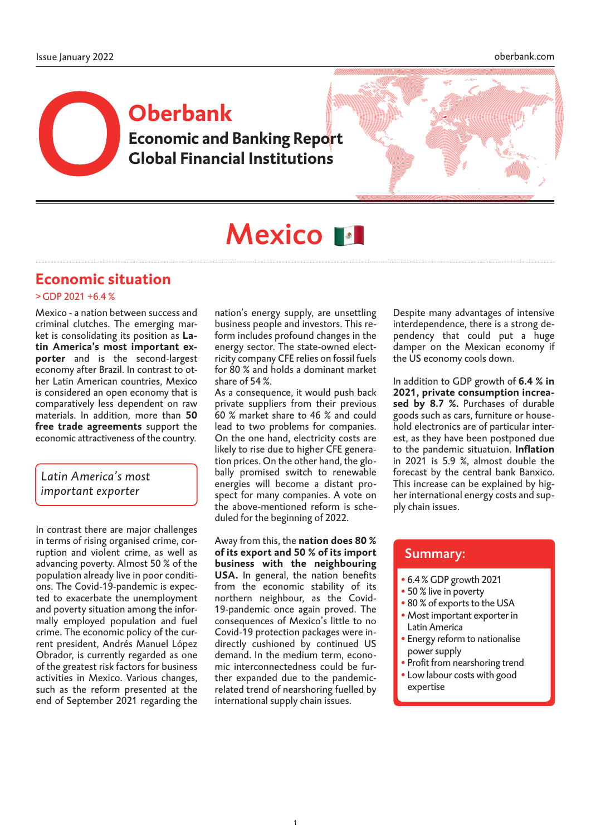## **Economic and Banking Report Global Financial Institutions Oberbank**



# Mexico **M**

## **Economic situation**

#### $>$  GDP 2021 +6.4 %

Mexico - a nation between success and criminal clutches. The emerging market is consolidating its position as **Latin America's most important exporter** and is the second-largest economy after Brazil. In contrast to other Latin American countries, Mexico is considered an open economy that is comparatively less dependent on raw materials. In addition, more than **50 free trade agreements** support the economic attractiveness of the country.

## *Latin America's most important exporter*

In contrast there are major challenges in terms of rising organised crime, corruption and violent crime, as well as advancing poverty. Almost 50 % of the population already live in poor conditions. The Covid-19-pandemic is expected to exacerbate the unemployment and poverty situation among the informally employed population and fuel crime. The economic policy of the current president, Andrés Manuel López Obrador, is currently regarded as one of the greatest risk factors for business activities in Mexico. Various changes, such as the reform presented at the end of September 2021 regarding the nation's energy supply, are unsettling business people and investors. This reform includes profound changes in the energy sector. The state-owned electricity company CFE relies on fossil fuels for 80 % and holds a dominant market share of 54 %.

As a consequence, it would push back private suppliers from their previous 60 % market share to 46 % and could lead to two problems for companies. On the one hand, electricity costs are likely to rise due to higher CFE generation prices. On the other hand, the globally promised switch to renewable energies will become a distant prospect for many companies. A vote on the above-mentioned reform is scheduled for the beginning of 2022.

Away from this, the **nation does 80 % of its export and 50 % of its import business with the neighbouring USA.** In general, the nation benefits from the economic stability of its northern neighbour, as the Covid-19-pandemic once again proved. The consequences of Mexico's little to no Covid-19 protection packages were indirectly cushioned by continued US demand. In the medium term, economic interconnectedness could be further expanded due to the pandemicrelated trend of nearshoring fuelled by international supply chain issues.

Despite many advantages of intensive interdependence, there is a strong dependency that could put a huge damper on the Mexican economy if the US economy cools down.

In addition to GDP growth of **6.4 % in 2021, private consumption increased by 8.7 %.** Purchases of durable goods such as cars, furniture or household electronics are of particular interest, as they have been postponed due to the pandemic situatuion. **Inflation** in 2021 is 5.9 %, almost double the forecast by the central bank Banxico. This increase can be explained by higher international energy costs and supply chain issues.

## Summary:

- 6.4 % GDP growth 2021
- 50 % live in poverty
- 80 % of exports to the USA
- Most important exporter in Latin America
- Energy reform to nationalise power supply
- Profit from nearshoring trend
- Low labour costs with good expertise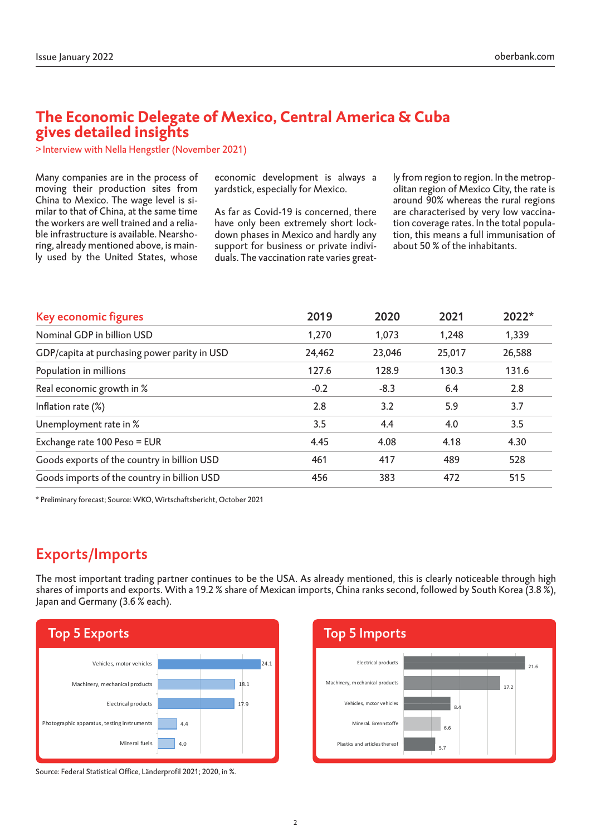## **The Economic Delegate of Mexico, Central America & Cuba gives detailed insights**

>Interview with Nella Hengstler (November 2021)

Many companies are in the process of moving their production sites from China to Mexico. The wage level is similar to that of China, at the same time the workers are well trained and a reliable infrastructure is available. Nearshoring, already mentioned above, is mainly used by the United States, whose economic development is always a yardstick, especially for Mexico.

As far as Covid-19 is concerned, there have only been extremely short lockdown phases in Mexico and hardly any support for business or private individuals. The vaccination rate varies great-

ly from region to region. In the metropolitan region of Mexico City, the rate is around 90% whereas the rural regions are characterised by very low vaccination coverage rates. In the total population, this means a full immunisation of about 50 % of the inhabitants.

| Key economic figures                         | 2019   | 2020   | 2021   | 2022*  |
|----------------------------------------------|--------|--------|--------|--------|
| Nominal GDP in billion USD                   | 1,270  | 1,073  | 1,248  | 1,339  |
| GDP/capita at purchasing power parity in USD | 24,462 | 23,046 | 25,017 | 26,588 |
| Population in millions                       | 127.6  | 128.9  | 130.3  | 131.6  |
| Real economic growth in %                    | $-0.2$ | $-8.3$ | 6.4    | 2.8    |
| Inflation rate (%)                           | 2.8    | 3.2    | 5.9    | 3.7    |
| Unemployment rate in %                       | 3.5    | 4.4    | 4.0    | 3.5    |
| Exchange rate 100 Peso = EUR                 | 4.45   | 4.08   | 4.18   | 4.30   |
| Goods exports of the country in billion USD  | 461    | 417    | 489    | 528    |
| Goods imports of the country in billion USD  | 456    | 383    | 472    | 515    |

\* Preliminary forecast; Source: WKO, Wirtschaftsbericht, October 2021

## Exports/Imports

The most important trading partner continues to be the USA. As already mentioned, this is clearly noticeable through high shares of imports and exports. With a 19.2 % share of Mexican imports, China ranks second, followed by South Korea (3.8 %), Japan and Germany (3.6 % each).





Source: Federal Statistical Office, Länderprofil 2021; 2020, in %.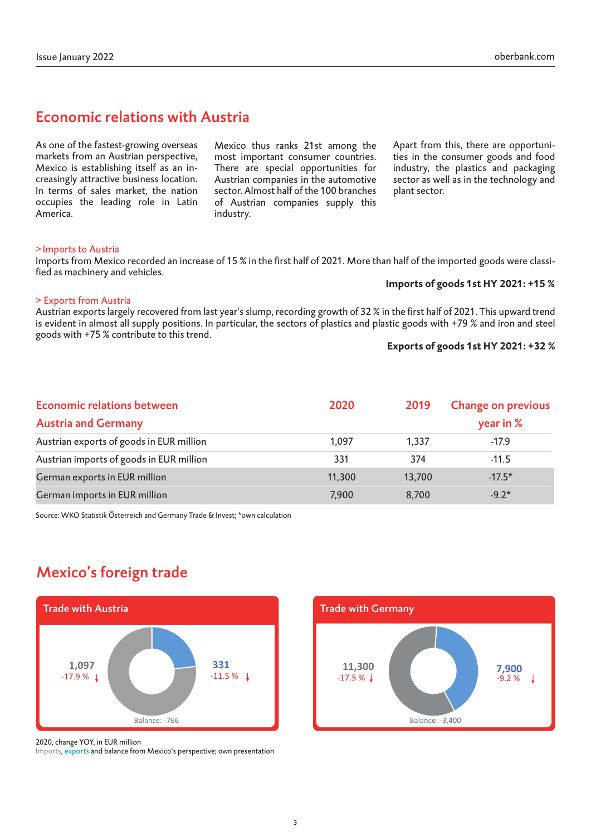## Economic relations with Austria

As one of the fastest-growing overseas markets from an Austrian perspective, Mexico is establishing itself as an increasingly attractive business location. In terms of sales market, the nation occupies the leading role in Latin America.

Mexico thus ranks 21st among the most important consumer countries. There are special opportunities for Austrian companies in the automotive sector. Almost half of the 100 branches of Austrian companies supply this industry.

Apart from this, there are opportunities in the consumer goods and food industry, the plastics and packaging sector as well as in the technology and plant sector.

#### >Imports to Austria

Imports from Mexico recorded an increase of 15 % in the first half of 2021. More than half of the imported goods were classified as machinery and vehicles.

#### **Imports of goods 1st HY 2021: +15 %**

#### > Exports from Austria

Austrian exports largely recovered from last year's slump, recording growth of 32 % in the first half of 2021. This upward trend is evident in almost all supply positions. In particular, the sectors of plastics and plastic goods with +79 % and iron and steel goods with +75 % contribute to this trend.

#### **Exports of goods 1st HY 2021: +32 %**

| <b>Economic relations between</b>        | 2020   | 2019   | <b>Change on previous</b><br>year in $%$ |  |
|------------------------------------------|--------|--------|------------------------------------------|--|
| <b>Austria and Germany</b>               |        |        |                                          |  |
| Austrian exports of goods in EUR million | 1.097  | 1.337  | $-17.9$                                  |  |
| Austrian imports of goods in EUR million | 331    | 374    | $-11.5$                                  |  |
| German exports in EUR million            | 11,300 | 13,700 | $-17.5*$                                 |  |
| German imports in EUR million            | 7,900  | 8,700  | $-9.2*$                                  |  |

Source: WKO Statistik Österreich and Germany Trade & Invest; \*own calculation

## Mexico's foreign trade





2020, change YOY, in EUR million

Imports, exports and balance from Mexico's perspective; own presentation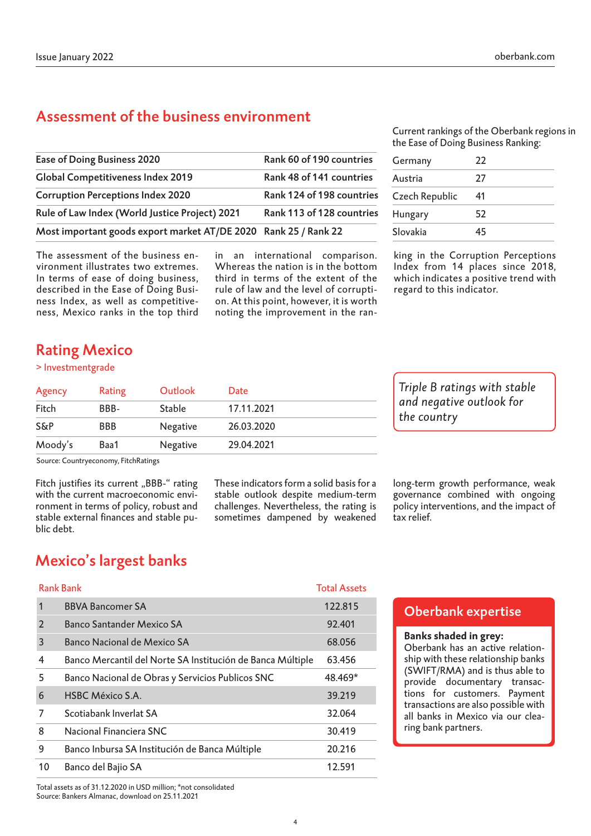## Assessment of the business environment

| Ease of Doing Business 2020                                     | Rank 60 of 190 countries  |
|-----------------------------------------------------------------|---------------------------|
| <b>Global Competitiveness Index 2019</b>                        | Rank 48 of 141 countries  |
| <b>Corruption Perceptions Index 2020</b>                        | Rank 124 of 198 countries |
| Rule of Law Index (World Justice Project) 2021                  | Rank 113 of 128 countries |
| Most important goods export market AT/DE 2020 Rank 25 / Rank 22 |                           |
|                                                                 |                           |

The assessment of the business environment illustrates two extremes. In terms of ease of doing business, described in the Ease of Doing Business Index, as well as competitiveness, Mexico ranks in the top third

in an international comparison. Whereas the nation is in the bottom third in terms of the extent of the rule of law and the level of corruption. At this point, however, it is worth noting the improvement in the ranCurrent rankings of the Oberbank regions in the Ease of Doing Business Ranking:

| Germany        | 22 |
|----------------|----|
| Austria        | 27 |
| Czech Republic | 41 |
| Hungary        | 52 |
| Slovakia       | 45 |

king in the Corruption Perceptions Index from 14 places since 2018, which indicates a positive trend with regard to this indicator.

## Rating Mexico

#### > Investmentgrade

| Agency  | Rating     | Outlook         | Date       |
|---------|------------|-----------------|------------|
| Fitch   | BBB-       | <b>Stable</b>   | 17.11.2021 |
| S&P     | <b>BBB</b> | <b>Negative</b> | 26.03.2020 |
| Moody's | Baa1       | Negative        | 29.04.2021 |

Source: Countryeconomy, FitchRatings

Fitch justifies its current "BBB-" rating with the current macroeconomic environment in terms of policy, robust and stable external finances and stable public debt.

These indicators form a solid basis for a stable outlook despite medium-term challenges. Nevertheless, the rating is sometimes dampened by weakened

*Triple B ratings with stable and negative outlook for the country*

long-term growth performance, weak governance combined with ongoing policy interventions, and the impact of tax relief.

## Mexico's largest banks

#### Rank Bank Total Assets

| 1              | <b>BBVA Bancomer SA</b>                                    | 122.815 |
|----------------|------------------------------------------------------------|---------|
| $\overline{2}$ | Banco Santander Mexico SA                                  | 92.401  |
| 3              | Banco Nacional de Mexico SA                                | 68.056  |
| 4              | Banco Mercantil del Norte SA Institución de Banca Múltiple | 63.456  |
| 5              | Banco Nacional de Obras y Servicios Publicos SNC           | 48.469* |
| 6              | <b>HSBC México S.A.</b>                                    | 39.219  |
| 7              | Scotiabank Inverlat SA                                     | 32.064  |
| 8              | Nacional Financiera SNC                                    | 30.419  |
| 9              | Banco Inbursa SA Institución de Banca Múltiple             | 20.216  |
| 10             | Banco del Bajio SA                                         | 12.591  |

## Oberbank expertise

#### **Banks shaded in grey:**

Oberbank has an active relationship with these relationship banks (SWIFT/RMA) and is thus able to provide documentary transactions for customers. Payment transactions are also possible with all banks in Mexico via our clearing bank partners.

Total assets as of 31.12.2020 in USD million; \*not consolidated Source: Bankers Almanac, download on 25.11.2021